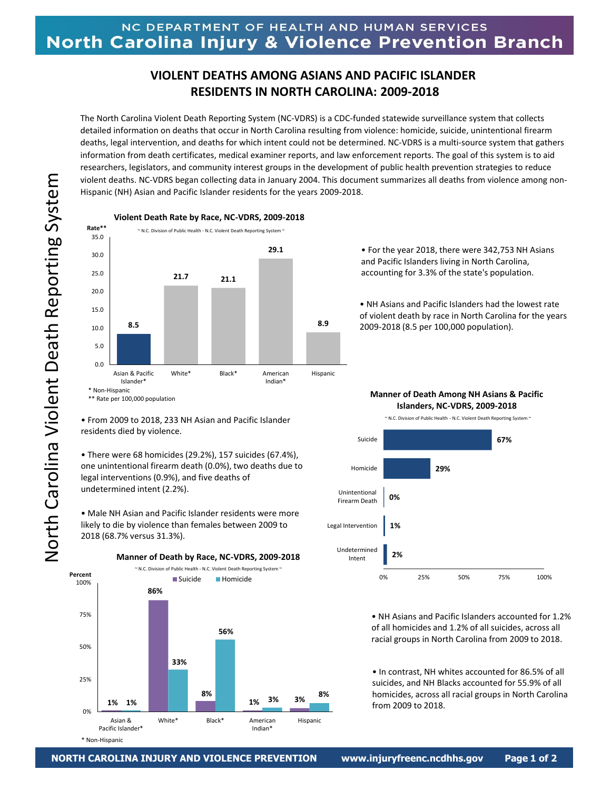## **VIOLENT DEATHS AMONG ASIANS AND PACIFIC ISLANDER RESIDENTS IN NORTH CAROLINA: 2009-2018**

The North Carolina Violent Death Reporting System (NC-VDRS) is a CDC-funded statewide surveillance system that collects detailed information on deaths that occur in North Carolina resulting from violence: homicide, suicide, unintentional firearm deaths, legal intervention, and deaths for which intent could not be determined. NC-VDRS is a multi-source system that gathers information from death certificates, medical examiner reports, and law enforcement reports. The goal of this system is to aid researchers, legislators, and community interest groups in the development of public health prevention strategies to reduce violent deaths. NC-VDRS began collecting data in January 2004. This document summarizes all deaths from violence among non-Hispanic (NH) Asian and Pacific Islander residents for the years 2009-2018.



## **Violent Death Rate by Race, NC-VDRS, 2009-2018**

• From 2009 to 2018, 233 NH Asian and Pacific Islander residents died by violence.

• There were 68 homicides (29.2%), 157 suicides (67.4%), one unintentional firearm death (0.0%), two deaths due to legal interventions (0.9%), and five deaths of undetermined intent (2.2%).

• Male NH Asian and Pacific Islander residents were more likely to die by violence than females between 2009 to 2018 (68.7% versus 31.3%).



• For the year 2018, there were 342,753 NH Asians and Pacific Islanders living in North Carolina, accounting for 3.3% of the state's population.

• NH Asians and Pacific Islanders had the lowest rate of violent death by race in North Carolina for the years 2009-2018 (8.5 per 100,000 population).

## ~ N.C. Division of Public Health - N.C. Violent Death Reporting System ~ **Manner of Death Among NH Asians & Pacific Islanders, NC-VDRS, 2009-2018**

**67% 29% 0% 1% 2%** 0% 25% 50% 75% 100% Suicide Homicide Unintentional Firearm Death Legal Intervention Undetermined Intent

> • NH Asians and Pacific Islanders accounted for 1.2% of all homicides and 1.2% of all suicides, across all racial groups in North Carolina from 2009 to 2018.

• In contrast, NH whites accounted for 86.5% of all suicides, and NH Blacks accounted for 55.9% of all homicides, across all racial groups in North Carolina from 2009 to 2018.

\* Non-Hispanic